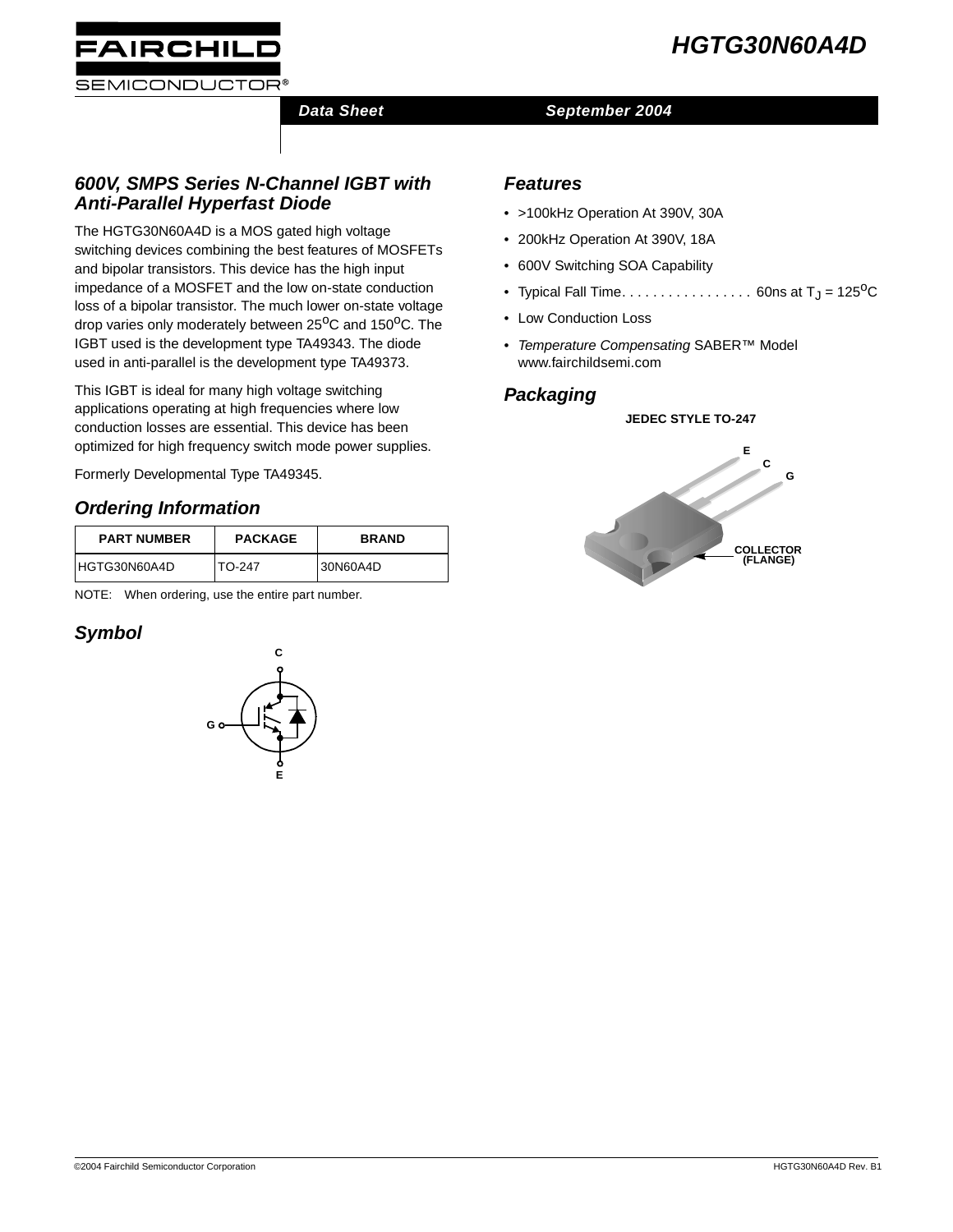



## **Data Sheet September 2004**

## **600V, SMPS Series N-Channel IGBT with Anti-Parallel Hyperfast Diode**

The HGTG30N60A4D is a MOS gated high voltage switching devices combining the best features of MOSFETs and bipolar transistors. This device has the high input impedance of a MOSFET and the low on-state conduction loss of a bipolar transistor. The much lower on-state voltage drop varies only moderately between 25<sup>o</sup>C and 150<sup>o</sup>C. The IGBT used is the development type TA49343. The diode used in anti-parallel is the development type TA49373.

This IGBT is ideal for many high voltage switching applications operating at high frequencies where low conduction losses are essential. This device has been optimized for high frequency switch mode power supplies.

Formerly Developmental Type TA49345.

## **Ordering Information**

| <b>PART NUMBER</b> | <b>PACKAGE</b> | <b>BRAND</b> |
|--------------------|----------------|--------------|
| HGTG30N60A4D       | TO-247         | 30N60A4D     |

NOTE: When ordering, use the entire part number.

## **Symbol**



### **Features**

- >100kHz Operation At 390V, 30A
- 200kHz Operation At 390V, 18A
- 600V Switching SOA Capability
- Typical Fall Time. . . . . . . . . . . . . . . . 60ns at  $T_J = 125^{\circ}C$
- Low Conduction Loss
- Temperature Compensating SABER™ Model www.fairchildsemi.com

## **Packaging**

#### **JEDEC STYLE TO-247**

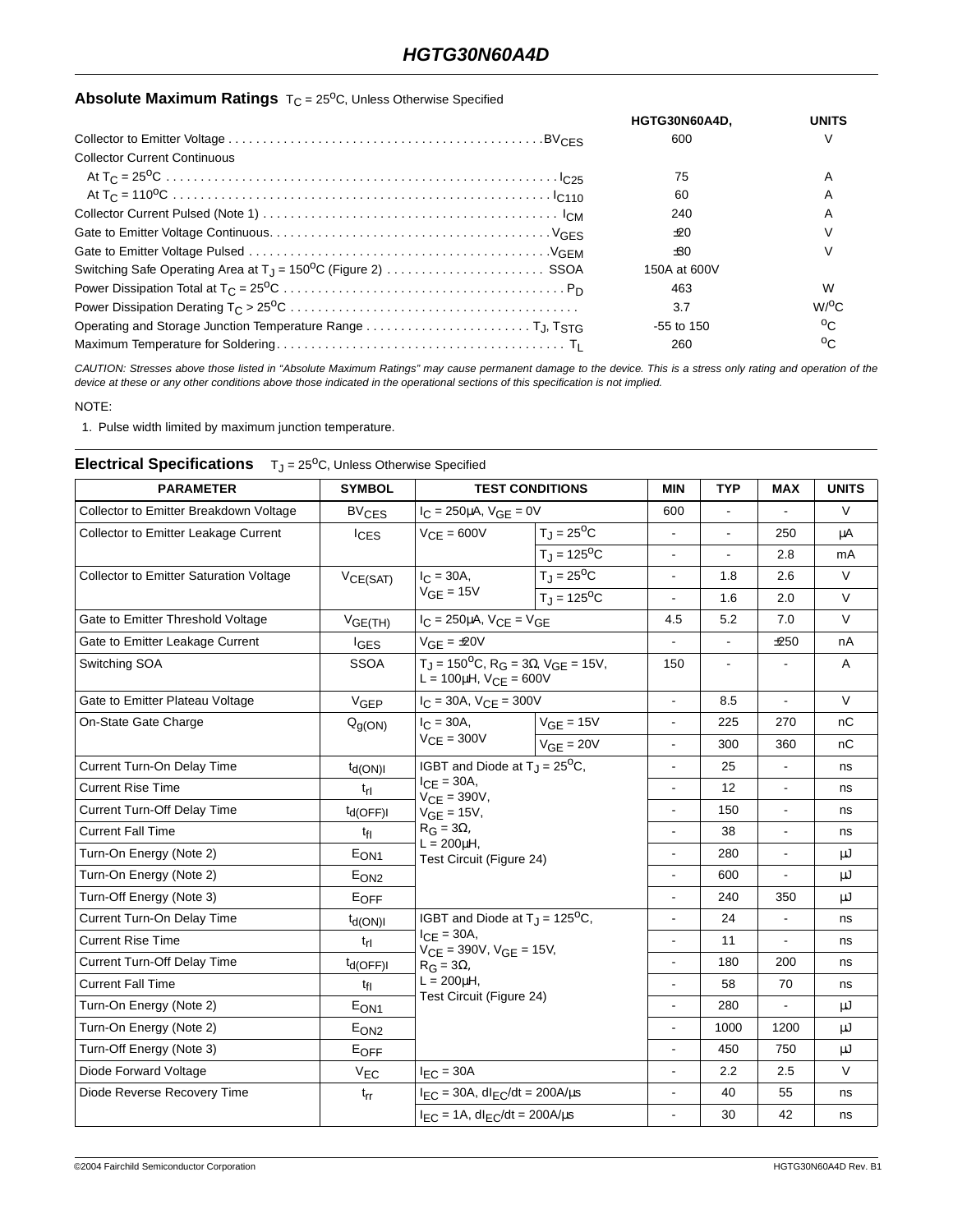## **Absolute Maximum Ratings** T<sub>C</sub> = 25<sup>o</sup>C, Unless Otherwise Specified

|                                                                                                                                  | HGTG30N60A4D. | UNITS           |
|----------------------------------------------------------------------------------------------------------------------------------|---------------|-----------------|
|                                                                                                                                  | 600           | V               |
| <b>Collector Current Continuous</b>                                                                                              |               |                 |
|                                                                                                                                  | 75            | A               |
|                                                                                                                                  | 60            | A               |
|                                                                                                                                  | 240           | A               |
|                                                                                                                                  | ±20           |                 |
|                                                                                                                                  | ±30           |                 |
|                                                                                                                                  | 150A at 600V  |                 |
| Power Dissipation Total at $T_C = 25^{\circ}C \dots \dots \dots \dots \dots \dots \dots \dots \dots \dots \dots \dots \cdot P_D$ | 463           | W               |
| Power Dissipation Derating $T_C > 25^{\circ}C \dots \dots \dots \dots \dots \dots \dots \dots \dots \dots \dots \dots \dots$     | 3.7           | $W$ / $\circ$ C |
|                                                                                                                                  | $-55$ to 150  | $^{\circ}$      |
|                                                                                                                                  | 260           | $^{\circ}$      |

CAUTION: Stresses above those listed in "Absolute Maximum Ratings" may cause permanent damage to the device. This is a stress only rating and operation of the device at these or any other conditions above those indicated in the operational sections of this specification is not implied.

NOTE:

1. Pulse width limited by maximum junction temperature.

| <b>PARAMETER</b>                               | <b>SYMBOL</b>           | <b>TEST CONDITIONS</b><br>$I_C = 250 \mu A$ , $V_{GE} = 0V$                                                                                                                          |                            | <b>MIN</b>               | <b>TYP</b>               | <b>MAX</b>     | <b>UNITS</b> |
|------------------------------------------------|-------------------------|--------------------------------------------------------------------------------------------------------------------------------------------------------------------------------------|----------------------------|--------------------------|--------------------------|----------------|--------------|
| Collector to Emitter Breakdown Voltage         | <b>BV<sub>CES</sub></b> |                                                                                                                                                                                      |                            | 600                      | $\blacksquare$           |                | $\vee$       |
| <b>Collector to Emitter Leakage Current</b>    | $I_{CES}$               | $V_{CE} = 600V$                                                                                                                                                                      | $T_J = 25^{\circ}C$        | $\blacksquare$           | $\overline{\phantom{a}}$ | 250            | μA           |
|                                                |                         |                                                                                                                                                                                      | $T_{\rm J} = 125^{\rm o}C$ |                          |                          | 2.8            | mA           |
| <b>Collector to Emitter Saturation Voltage</b> | VCE(SAT)                | $I_{C} = 30A,$                                                                                                                                                                       | $T_J = 25^{\circ}C$        | $\blacksquare$           | 1.8                      | 2.6            | V            |
|                                                |                         | $V_{GE}$ = 15V                                                                                                                                                                       | $T_{\rm J} = 125^{\rm o}C$ |                          | 1.6                      | 2.0            | $\vee$       |
| Gate to Emitter Threshold Voltage              | V <sub>GE(TH)</sub>     | $I_C = 250 \mu A$ , $V_{CE} = V_{GE}$                                                                                                                                                |                            | 4.5                      | 5.2                      | 7.0            | V            |
| Gate to Emitter Leakage Current                | <b>I</b> GES            | $V_{GE} = \pm 20V$                                                                                                                                                                   |                            | $\mathbf{r}$             | $\blacksquare$           | ±250           | nA           |
| Switching SOA                                  | <b>SSOA</b>             | $T_J = 150^{\circ}C$ , R <sub>G</sub> = 3 $\Omega$ , V <sub>GE</sub> = 15V,<br>L = $100\mu$ H, $V_{CE} = 600V$                                                                       |                            | 150                      | $\overline{\phantom{a}}$ |                | A            |
| Gate to Emitter Plateau Voltage                | $V_{GEP}$               | $I_C = 30A$ , $V_{CE} = 300V$                                                                                                                                                        |                            | $\blacksquare$           | 8.5                      | L,             | V            |
| On-State Gate Charge                           | $Q_{g(ON)}$             | $I_{C} = 30A,$<br>$V_{CE} = 300V$                                                                                                                                                    | $VGE = 15V$                | $\overline{a}$           | 225                      | 270            | nC           |
|                                                |                         |                                                                                                                                                                                      | $V_{GE}$ = 20V             | $\blacksquare$           | 300                      | 360            | nC           |
| Current Turn-On Delay Time                     | $t_{d(ON)}$             | IGBT and Diode at $T_J = 25^{\circ}C$ ,<br>$I_{CE}$ = 30A,<br>$V_{CE} = 390V,$<br>$VGE = 15V,$<br>$R_G = 3\Omega,$<br>$L = 200$ uH,<br>Test Circuit (Figure 24)                      |                            | $\overline{\phantom{a}}$ | 25                       |                | ns           |
| <b>Current Rise Time</b>                       | $t_{\rm fl}$            |                                                                                                                                                                                      |                            |                          | 12                       |                | ns           |
| Current Turn-Off Delay Time                    | $t_{d(OFF)I}$           |                                                                                                                                                                                      |                            | $\blacksquare$           | 150                      | ä,             | ns           |
| <b>Current Fall Time</b>                       | $t_{fl}$                |                                                                                                                                                                                      |                            | $\blacksquare$           | 38                       |                | ns           |
| Turn-On Energy (Note 2)                        | E <sub>ON1</sub>        |                                                                                                                                                                                      |                            | ÷                        | 280                      | ÷.             | μJ           |
| Turn-On Energy (Note 2)                        | E <sub>ON2</sub>        |                                                                                                                                                                                      |                            |                          | 600                      |                | μJ           |
| Turn-Off Energy (Note 3)                       | EOFF                    |                                                                                                                                                                                      |                            | $\overline{a}$           | 240                      | 350            | μJ           |
| Current Turn-On Delay Time                     | $t_{d(ON)}$             | IGBT and Diode at $T_{\rm J}$ = 125 <sup>o</sup> C,<br>$I_{\text{CF}} = 30A$ ,<br>$V_{CE} = 390V$ , $V_{GE} = 15V$ ,<br>$R_G = 3\Omega$<br>$L = 200$ uH,<br>Test Circuit (Figure 24) |                            | $\blacksquare$           | 24                       | ä,             | ns           |
| <b>Current Rise Time</b>                       | $t_{rl}$                |                                                                                                                                                                                      |                            | $\overline{a}$           | 11                       | $\overline{a}$ | ns           |
| <b>Current Turn-Off Delay Time</b>             | $t_{d(OFF)I}$           |                                                                                                                                                                                      |                            | $\overline{\phantom{a}}$ | 180                      | 200            | ns           |
| <b>Current Fall Time</b>                       | $t_{fl}$                |                                                                                                                                                                                      |                            |                          | 58                       | 70             | ns           |
| Turn-On Energy (Note 2)                        | $E_{ON1}$               |                                                                                                                                                                                      |                            | $\blacksquare$           | 280                      | ä,             | μJ           |
| Turn-On Energy (Note 2)                        | E <sub>ON2</sub>        |                                                                                                                                                                                      |                            |                          | 1000                     | 1200           | μJ           |
| Turn-Off Energy (Note 3)                       | EOFF                    |                                                                                                                                                                                      |                            | $\blacksquare$           | 450                      | 750            | μJ           |
| Diode Forward Voltage                          | $V_{EC}$                | $I_{FC} = 30A$                                                                                                                                                                       |                            |                          | 2.2                      | 2.5            | $\vee$       |
| Diode Reverse Recovery Time                    | $t_{rr}$                | $I_{EC}$ = 30A, dl <sub>EC</sub> /dt = 200A/ $\mu$ s                                                                                                                                 |                            | $\ddot{\phantom{a}}$     | 40                       | 55             | ns           |
|                                                |                         | $I_{EC} = 1A$ , dl <sub>EC</sub> /dt = 200A/µs                                                                                                                                       |                            | $\mathbf{r}$             | 30                       | 42             | ns           |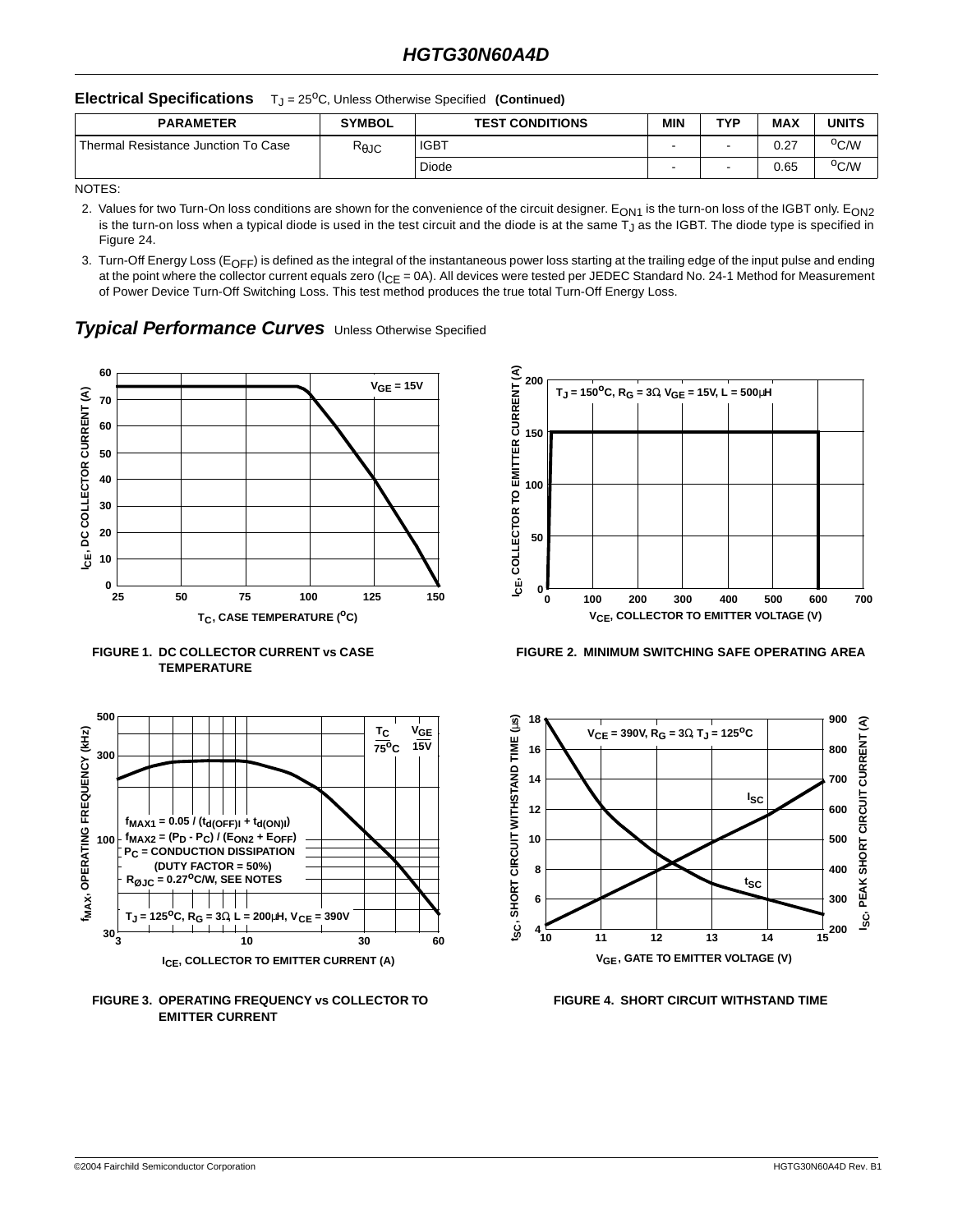#### **Electrical Specifications** T<sub>J</sub> = 25<sup>o</sup>C, Unless Otherwise Specified (Continued)

| <b>PARAMETER</b>                      | <b>SYMBOL</b>   | <b>TEST CONDITIONS</b> | MIN | TVD | <b>MAX</b> | <b>UNITS</b>     |
|---------------------------------------|-----------------|------------------------|-----|-----|------------|------------------|
| l Thermal Resistance Junction To Case | $R_{\theta}$ JC | <b>IGBT</b>            |     |     | 0.27       | <sup>o</sup> C/W |
|                                       |                 | Diode                  | -   |     | 0.65       | <sup>o</sup> C/W |

NOTES:

- 2. Values for two Turn-On loss conditions are shown for the convenience of the circuit designer. E<sub>ON1</sub> is the turn-on loss of the IGBT only. E<sub>ON2</sub> is the turn-on loss when a typical diode is used in the test circuit and the diode is at the same T $_{\rm J}$  as the IGBT. The diode type is specified in Figure 24.
- 3. Turn-Off Energy Loss (E<sub>OFF</sub>) is defined as the integral of the instantaneous power loss starting at the trailing edge of the input pulse and ending at the point where the collector current equals zero ( $I_{CE} = 0$ A). All devices were tested per JEDEC Standard No. 24-1 Method for Measurement of Power Device Turn-Off Switching Loss. This test method produces the true total Turn-Off Energy Loss.

### **Typical Performance Curves** Unless Otherwise Specified











**FIGURE 2. MINIMUM SWITCHING SAFE OPERATING AREA**



**FIGURE 4. SHORT CIRCUIT WITHSTAND TIME**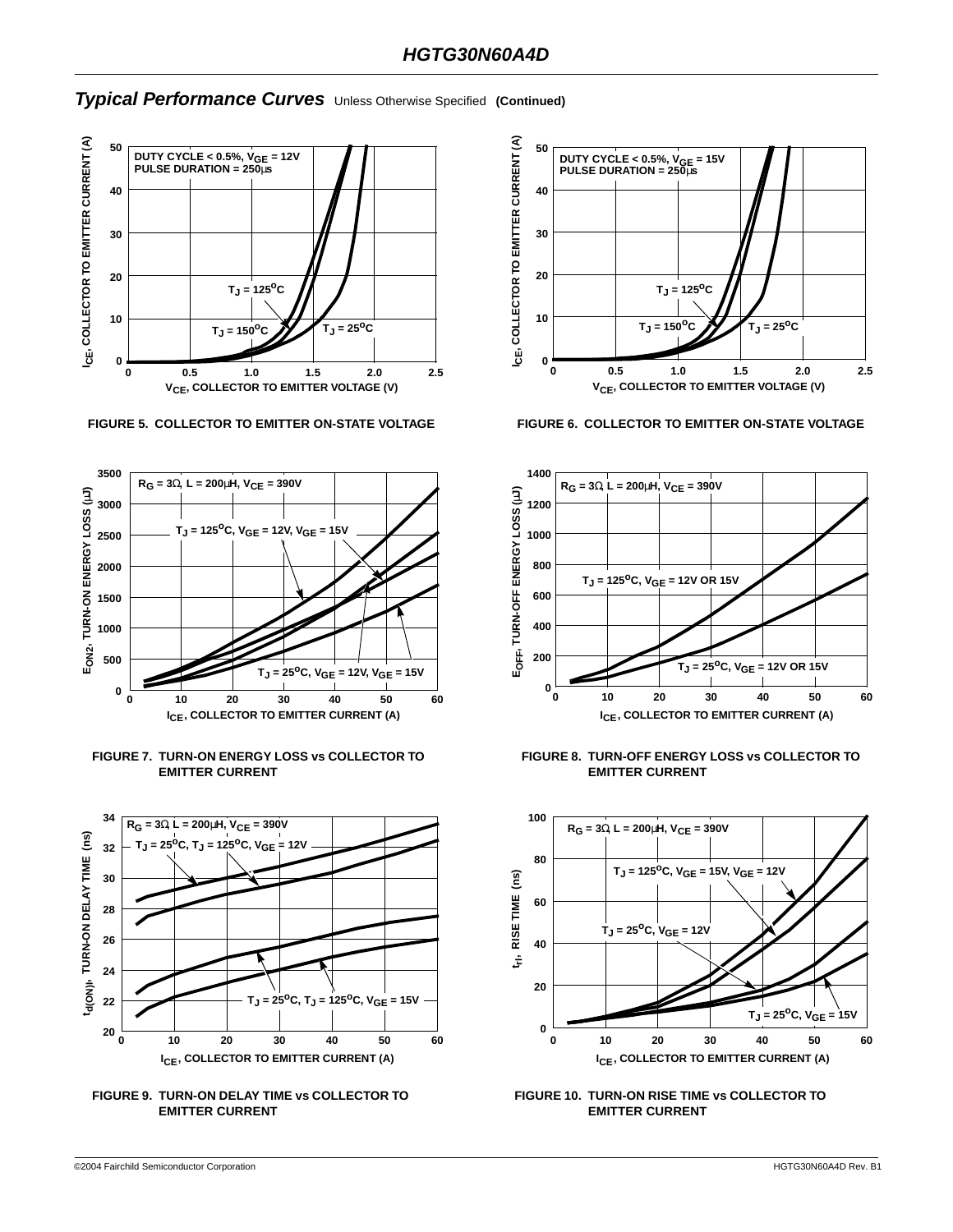

**FIGURE 5. COLLECTOR TO EMITTER ON-STATE VOLTAGE FIGURE 6. COLLECTOR TO EMITTER ON-STATE VOLTAGE**













**FIGURE 8. TURN-OFF ENERGY LOSS vs COLLECTOR TO EMITTER CURRENT**



**FIGURE 10. TURN-ON RISE TIME vs COLLECTOR TO EMITTER CURRENT**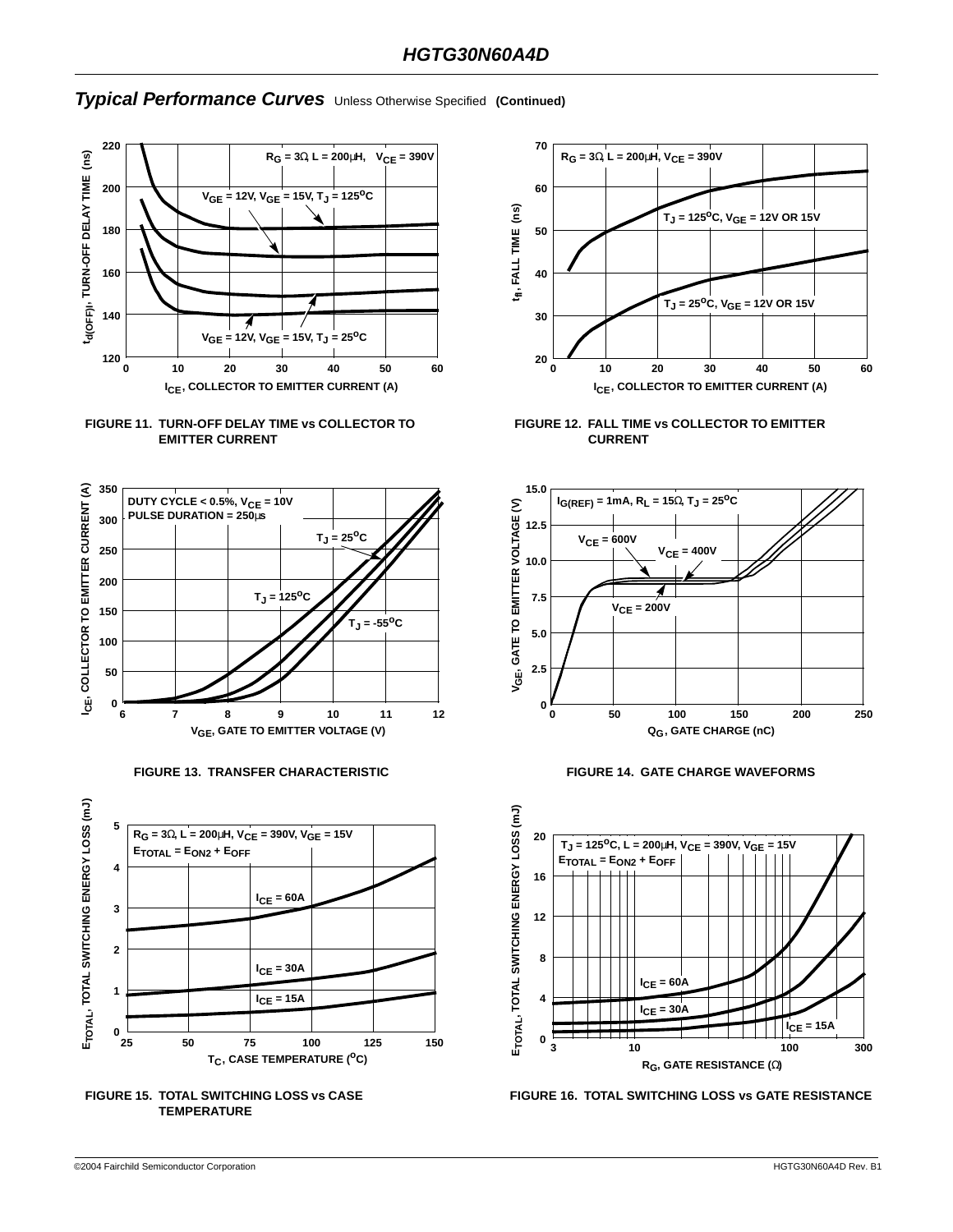



















**FIGURE 16. TOTAL SWITCHING LOSS vs GATE RESISTANCE**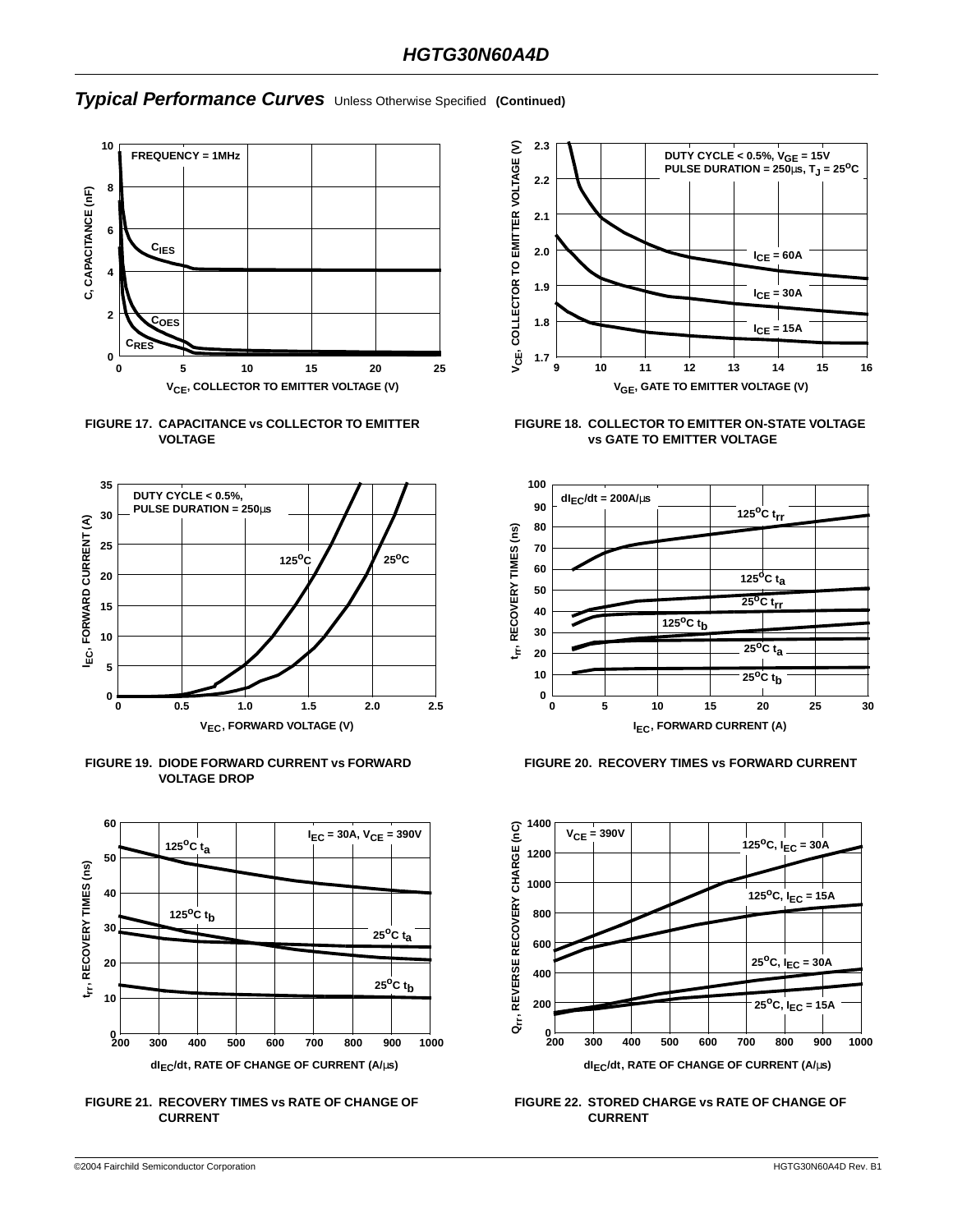





**FIGURE 19. DIODE FORWARD CURRENT vs FORWARD VOLTAGE DROP**



**FIGURE 21. RECOVERY TIMES vs RATE OF CHANGE OF CURRENT**



**FIGURE 18. COLLECTOR TO EMITTER ON-STATE VOLTAGE vs GATE TO EMITTER VOLTAGE**



**FIGURE 20. RECOVERY TIMES vs FORWARD CURRENT**



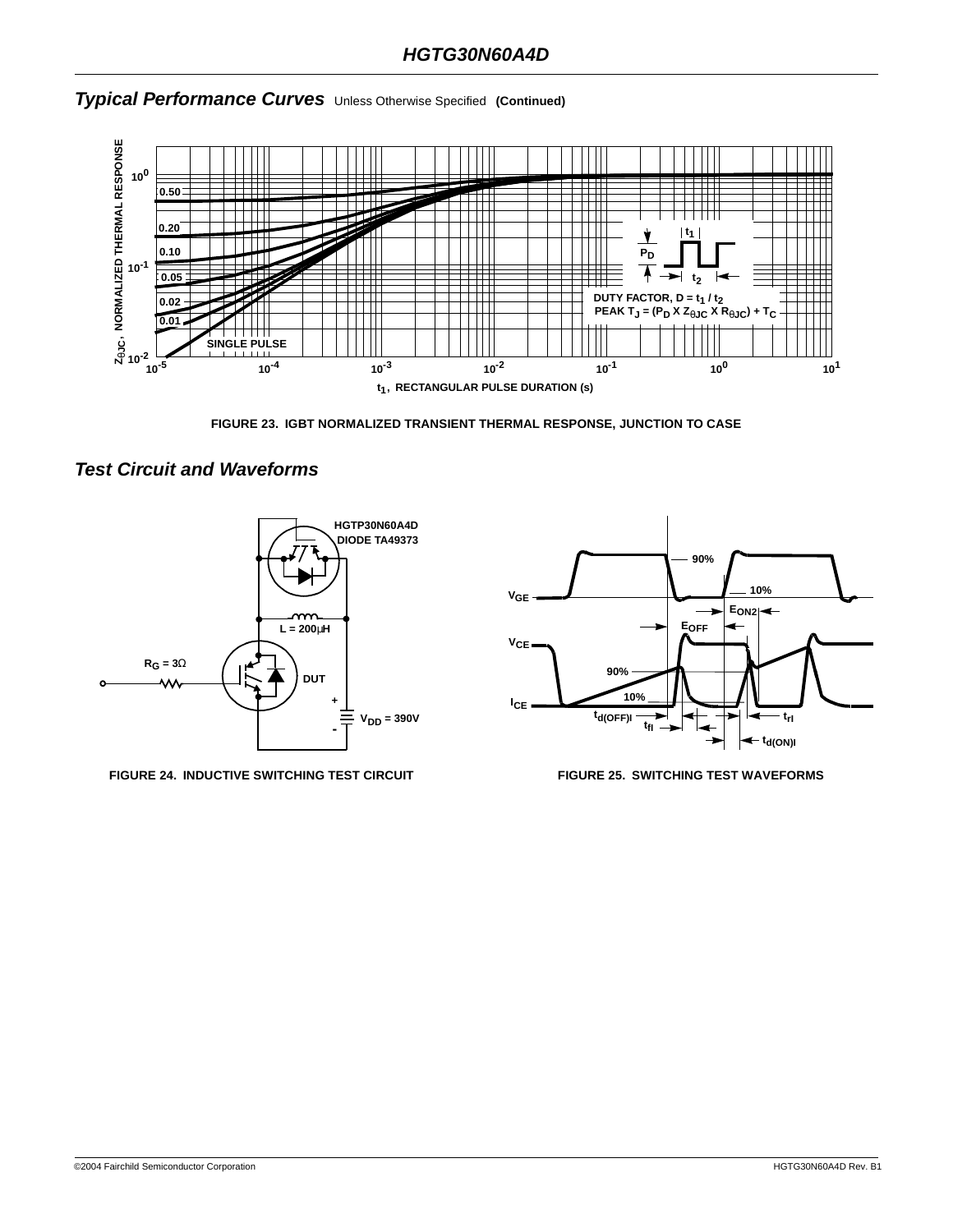

**FIGURE 23. IGBT NORMALIZED TRANSIENT THERMAL RESPONSE, JUNCTION TO CASE**

## **Test Circuit and Waveforms**



**FIGURE 24. INDUCTIVE SWITCHING TEST CIRCUIT FIGURE 25. SWITCHING TEST WAVEFORMS**

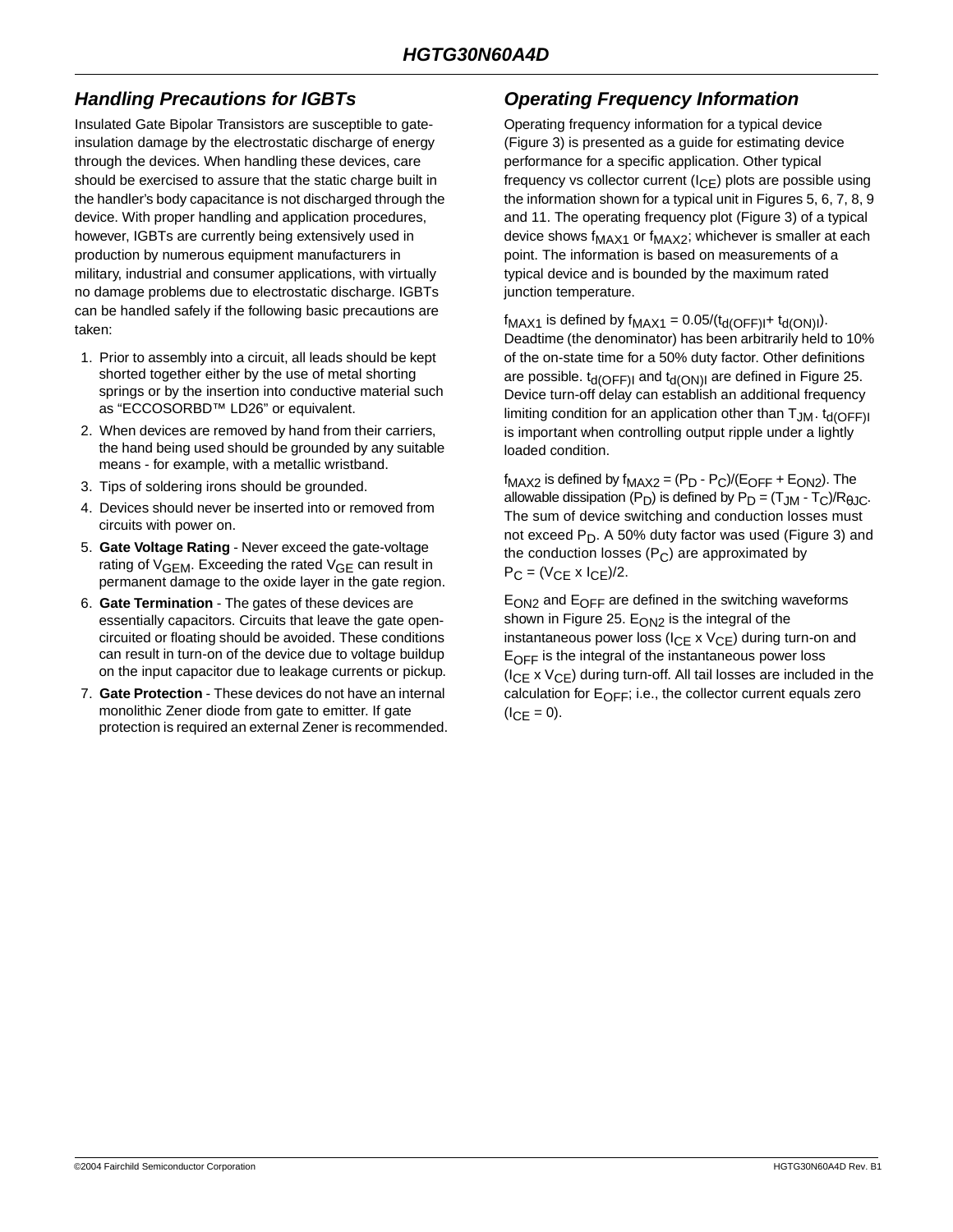## **Handling Precautions for IGBTs**

Insulated Gate Bipolar Transistors are susceptible to gateinsulation damage by the electrostatic discharge of energy through the devices. When handling these devices, care should be exercised to assure that the static charge built in the handler's body capacitance is not discharged through the device. With proper handling and application procedures, however, IGBTs are currently being extensively used in production by numerous equipment manufacturers in military, industrial and consumer applications, with virtually no damage problems due to electrostatic discharge. IGBTs can be handled safely if the following basic precautions are taken:

- 1. Prior to assembly into a circuit, all leads should be kept shorted together either by the use of metal shorting springs or by the insertion into conductive material such as "ECCOSORBD™ LD26" or equivalent.
- 2. When devices are removed by hand from their carriers, the hand being used should be grounded by any suitable means - for example, with a metallic wristband.
- 3. Tips of soldering irons should be grounded.
- 4. Devices should never be inserted into or removed from circuits with power on.
- 5. **Gate Voltage Rating** Never exceed the gate-voltage rating of  $V_{GEM}$ . Exceeding the rated  $V_{GE}$  can result in permanent damage to the oxide layer in the gate region.
- 6. **Gate Termination** The gates of these devices are essentially capacitors. Circuits that leave the gate opencircuited or floating should be avoided. These conditions can result in turn-on of the device due to voltage buildup on the input capacitor due to leakage currents or pickup.
- 7. **Gate Protection** These devices do not have an internal monolithic Zener diode from gate to emitter. If gate protection is required an external Zener is recommended.

# **Operating Frequency Information**

Operating frequency information for a typical device (Figure 3) is presented as a guide for estimating device performance for a specific application. Other typical frequency vs collector current  $(I_{CE})$  plots are possible using the information shown for a typical unit in Figures 5, 6, 7, 8, 9 and 11. The operating frequency plot (Figure 3) of a typical device shows  $f_{MAX1}$  or  $f_{MAX2}$ ; whichever is smaller at each point. The information is based on measurements of a typical device and is bounded by the maximum rated junction temperature.

 $f_{MAX1}$  is defined by  $f_{MAX1} = 0.05/(t_{d(OFF)I} + t_{d(ON)I}).$ Deadtime (the denominator) has been arbitrarily held to 10% of the on-state time for a 50% duty factor. Other definitions are possible.  $t_{d(OFF)}$  and  $t_{d(ON))}$  are defined in Figure 25. Device turn-off delay can establish an additional frequency limiting condition for an application other than  $T_{JM}$ .  $t_{d(OFF)}$ is important when controlling output ripple under a lightly loaded condition.

 $f_{MAX2}$  is defined by  $f_{MAX2} = (P_D - P_C)/(E_{OFF} + E_{ON2})$ . The allowable dissipation (P<sub>D</sub>) is defined by P<sub>D</sub> =  $(T_{JM} - T_C)/R_{\theta JC}$ . The sum of device switching and conduction losses must not exceed  $P_D$ . A 50% duty factor was used (Figure 3) and the conduction losses  $(P_C)$  are approximated by  $P_C = (V_{CE} \times I_{CE})/2$ .

 $E_{ON2}$  and  $E_{OFF}$  are defined in the switching waveforms shown in Figure 25.  $E_{ON2}$  is the integral of the instantaneous power loss ( $I_{CE}$  x  $V_{CE}$ ) during turn-on and  $E_{\text{OFF}}$  is the integral of the instantaneous power loss ( $I_{CE}$  x  $V_{CE}$ ) during turn-off. All tail losses are included in the calculation for  $E_{\text{OFF}}$ ; i.e., the collector current equals zero  $(I_{CE} = 0)$ .